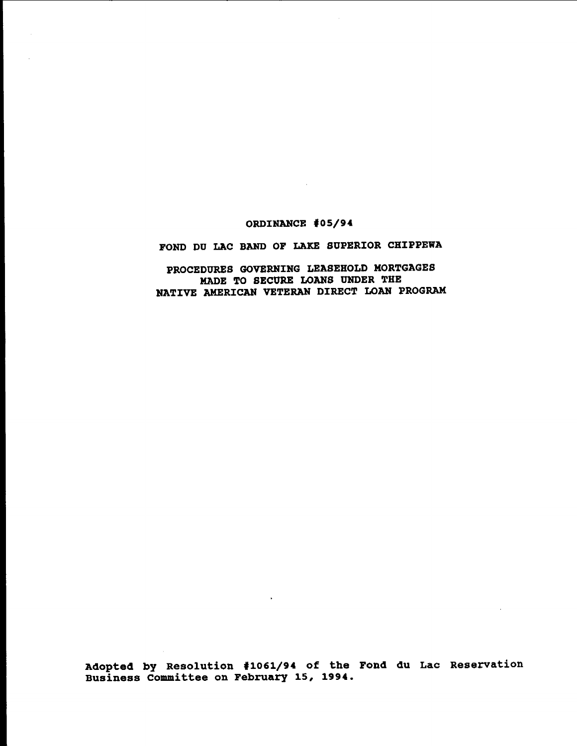# ORDINANCE #05/94

 $\sim 10^{-1}$ 

# FOND DU LAC BAND OF LAKE SUPERIOR CHIPPEWA

PROCEDURES GOVERNING LEASEHOLD MORTGAGES MADE TO SECURE LOANS UNDER THE NATIVE AMERICAN VETERAN DIRECT LOAN PROGRAM

Adopted by Resolution '1061/94 of the Fond du Lac Reservation Business committee on February 15, 1994.

 $\ddot{\phantom{a}}$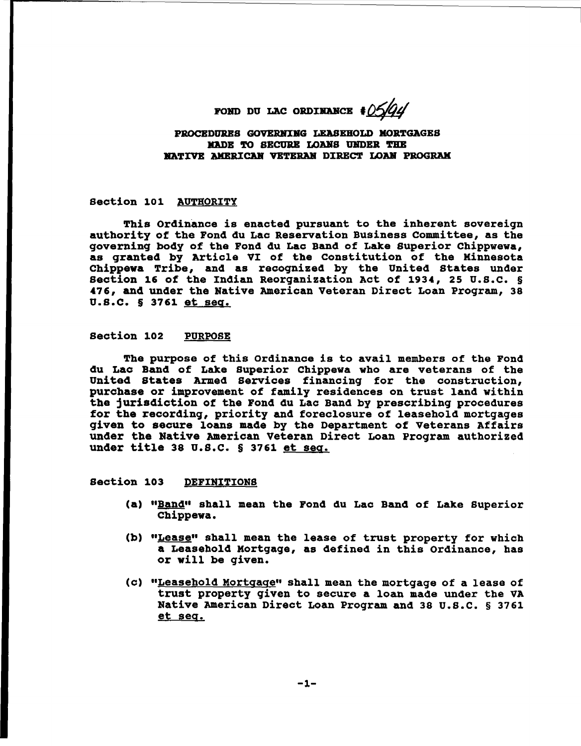POND DU LAC ORDINANCE  $\frac{1}{2}$ 

# PROCEDURES GOVERNING LEASEHOLD MORTGAGES MADE TO SECURE LOANS UNDER THE NATIVE AMERICAN VETERAN DIRECT LOAN PROGRAM

# Section 101 AUTHORITY

This Ordinance is enacted pursuant to the inherent sovereign authority of the Fond du Lac Reservation Business Committee, as the governinq body of the Fond du Lac Band of Lake superior Chippwewa, as qranted by Article VI of the constitution of the Hinnesota Chippewa Tribe, and as recoqnized by the United states under section 16 of the Indian Reorganization Act of 1934, 25 U.S.C. § 476, and under the Native American Veteran Direct Loan Program, 38 U.S.C. § 3761 et seq.

# section 102 PURPOSE

The purpose of this Ordinance is to avail members of the Fond du Lac Band of Lake superior Chippewa who are veterans of the United States Armed Services financing for the construction, purchase or improvement of family residences on trust land within the jurisdiction of the Fond du Lac Band by prescribing procedures for the recording, priority and foreclosure of leasehold mortgages qiven to secure loans made by the Department of Veterans Affairs under the Native American veteran Direct Loan Program authorized under title <sup>38</sup> U.S.C. § <sup>3761</sup> et seq.

# section 103 DEFINITIONS

- (a) "Band" shall mean the Fond du Lac Band of Lake Superior Chippewa.
- (b) "Lease" shall mean the lease of trust property for which a Leasehold Hortgage, as defined in this ordinance, has or will be given.
- (c) "Leasehold Hortqaqe" shall mean the mortqage of a lease of trust property given to secure <sup>a</sup> loan made under the VA Native American Direct Loan Program and 38 U.S.C. § 3761 et seq.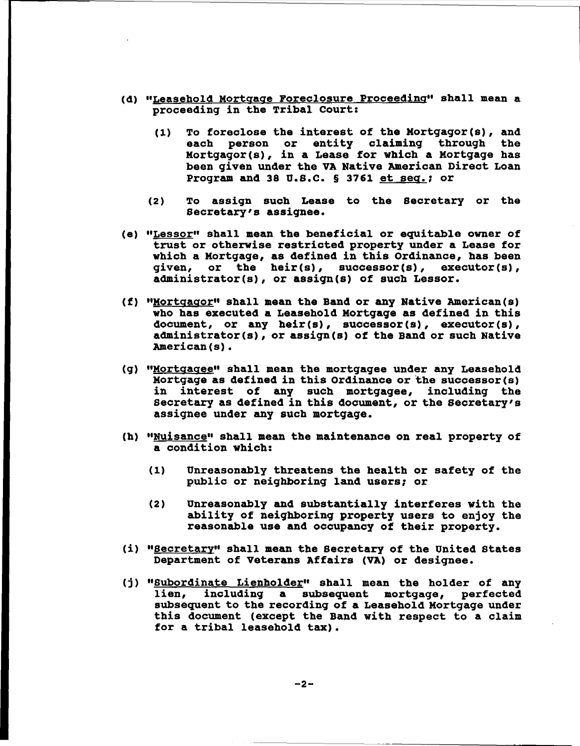- (d) "Leasehold Mortgage Foreclosure Proceeding" shall mean <sup>a</sup> proceeding in the Tribal court:
	- (1) To foreclose the interest of the Mortgagor(s), and each person or entity claiming through the Mortgagor(s), in a Lease for which a Mortgage has been given under the VA Native American Direct Loan Program and 38 U.S.C. § 3761 et seq.; or
	- (2) To assign such Lease to the secretary or the Secretary's assignee.
- (e) "Lessor" shall mean the beneficial or equitable owner of trust or otherwise restricted property under <sup>a</sup> Lease for which <sup>a</sup> Mortgage, as defined in this Ordinance, has been given, or the heir(s), successor(s), executor(s), administrator(s), or assign(s) of such Lessor.
- (f) "Mortgagor" shall mean the Band or any Native American(s) who has executed <sup>a</sup> Leasehold Mortgage as defined in this document, or any heir(s), successor(s), executor(s), administrator(s), or assign(s) *ot* the Band or such Native American(s).
- (g) "Mortgagee" shall mean the mortgagee under any Leasehold Mortgage as defined in this ordinance or the successor(s) in interest of any such mortgagee, including the Secretary as defined in this document, or the secretary's assignee under any such mortgage.
- (h) "Nuisance" shall mean the maintenance on real property of a condition which:
	- (1) Unreasonably threatens the health or safety of the public or neighboring land users; or
	- (2) Unreasonably and substantially interferes with the ability of neighboring property users to enjoy the reasonable use and occupancy *ot* their property.
- (i) "Secretary" shall mean the Secretary of the United States Department of veterans Affairs (VA) or designee.
- (j) "Subordinate Lienholder" shall mean the holder of any<br>lien, including a subsequent mortgage, perfected including a subsequent mortgage, perfected subsequent to the recording of a Leasehold Mortgage under this document (except the Band with respect to <sup>a</sup> claim for <sup>a</sup> tribal leasehold tax).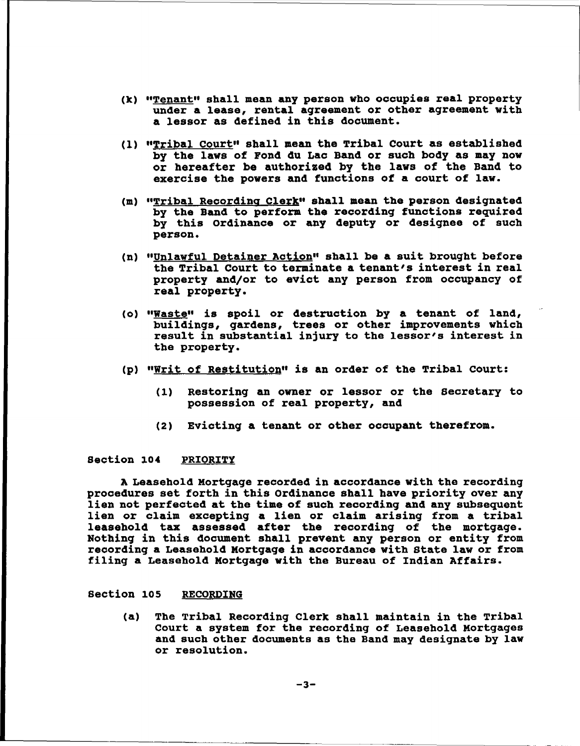- (k) "Tenant" shall mean any person who occupies real property under a lease, rental agreement or other agreement with a lessor as defined in this dooument.
- (1) "Tribal Court" shall mean the Tribal court as established by the laws of Fond du Lao Band or suoh body as may now or hereafter be authorized by the laws of the Band to exercise the powers and functions of a court of law.
- (m) "Tribal Recording Clerk" shall mean the person designated by the Band to perform the recording functions required by this ordinance or any deputy or designee of such person.
- (n) "Unlawful Detainer Action" shall be a suit brought before the Tribal Court to terminate a tenant's interest in real property and/or to eviot any person from occupancy of real property.
- (0) "Waste" is spoil or destruotion by <sup>a</sup> tenant of land, buildings, gardens, trees or other improvements which result in substantial injury to the lessor's interest in the property.
- (p) "Writ of Restitution" is an order of the Tribal Court:
	- (1) Restoring an owner or lessor or the Secretary to possession of real property, and
	- (2) Evicting a tenant or other oooupant therefrom.

# Section 104 PRIORITY

A Leasehold Mortgage recorded in accordance with the recording procedures set forth in this Ordinance shall have priority over any lien not perfected at the time of such recording and any subsequent lien or claim excepting a lien or claim arising from a tribal leasehold tax assessed after the recording of the mortgage. Nothing in this document shall prevent any person or entity from reoording a Leasehold Mortgage in acoordance with state law or from filing a Leasehold Mortgage with the Bureau of Indian Affairs.

# Section 105 RECORDING

(a) The Tribal Recording Clerk shall maintain in the Tribal Court a system for the recording of Leasehold Mortgages and such other documents as the Band may designate by law or resolution.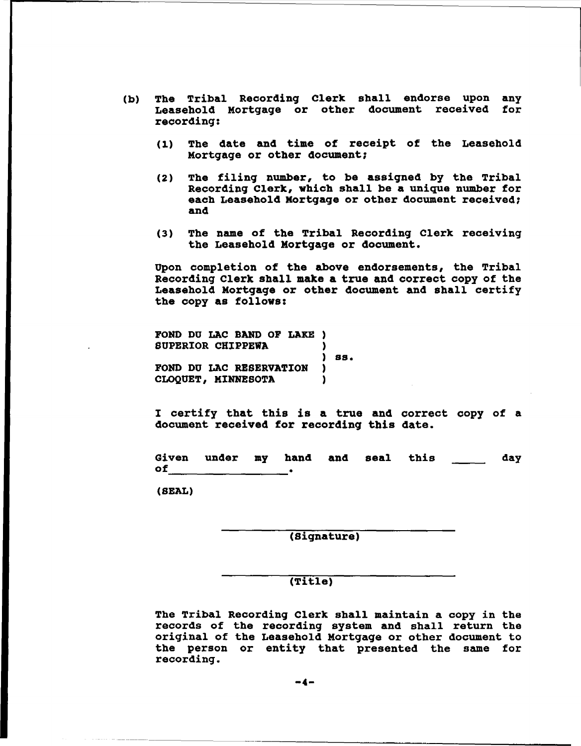- (b) The Tribal Recording Clerk shall endorse upon any Leasehold Mortgage or other document received for recording:
	- (1) Tbe date and time *ot* receipt of tbe Leasebold Mortgage or otber document;
	- (2) The filing number, to be assigned by the Tribal Recording Clerk, wbich shall be a unique number for each Leasehold Mortgage or other document received; and
	- (3) Tbe name of the Tribal Recording Clerk receiving tbe Leasehold Mortgage or document.

Upon completion of tbe above endorsements, tbe Tribal Recording Clerk sball make a true and correct copy of tbe Leasebold Mortgage or other document and shall certify tbe copy as follows:

FOND DU LAC BAND OF LAKE ) SUPERIOR CHIPPEWA ) ) SSe FOND DU LAC RESERVATION ) CLOQUET, MINNESOTA )

<sup>I</sup> certify tbat tbis is <sup>a</sup> true and correct copy of <sup>a</sup> document received for recording this date.

Given under my band of **and the contract when**<br>of **.** and seal tbis day

(SEAL)

(signature)

# (Title)

The Tribal Recording Clerk shall maintain a copy in the records of the recording system and shall return the original of the Leasehold Mortgage or other document to tbe person or entity that presented tbe same for recording.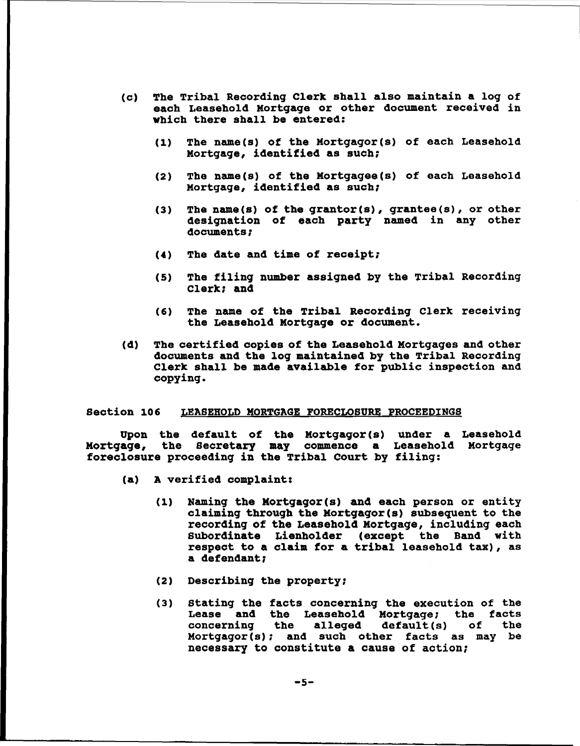- (c) The Tribal Recording Clerk shall also maintain a log of each Leasehold Mortgage or other document received in which there shall be entered:
	- (1) The name(s) *ot* the Mortgagor(s) of each Leasehold Mortgage, identified as such;
	- (2) The name(s) of the Mortgagee(s) of each Leasehold Mortgage, identified as such;
	- (3) The name(s) of the grantor(s), grantee(s), or other designation of each party named in any other documents;
	- (4) The date and time *ot* receipt;
	- (5) The filing number assigned by the Tribal Recording Clerk; and
	- (6) The name of the Tribal Recording Clerk receiving the Leasehold Mortgage or document.
- (d) The certified copies of the Leasehold Mortgages and other documents and the log maintained by the Tribal Recording Clerk shall be made available for public inspection and copying.

# Section 106 LEASEHOLD MORTGAGE FORECLOSURE PROCEEDINGS

Upon the default of the Mortgagor(s) under a Leasehold Mortgage, the Secretary may commence a Leasehold Mortgage Mortgage, the Secretary may commence a Leasehol<br>foreclosure proceeding in the Tribal Court by filing:

- (a) A verified complaint:
	- (1) Naming the Kortgagor(s) and each person or entity claiming through the Mortgagor(s) subsequent to the recording of the Leasehold Mortgage, inclUding each Subordinate Lienholder (except the Band with respect to <sup>a</sup> claim for <sup>a</sup> tribal leasehold tax), as a defendant;
	- (2) Describing the property;
	- (3) stating the facts concerning the execution of the Lease and the Leasehold Mortgage; the facts<br>concerning the alleged default(s) of the alleged default(s) of Mortgagor(s); and such other facts as may be necessary to constitute a cause of aotion;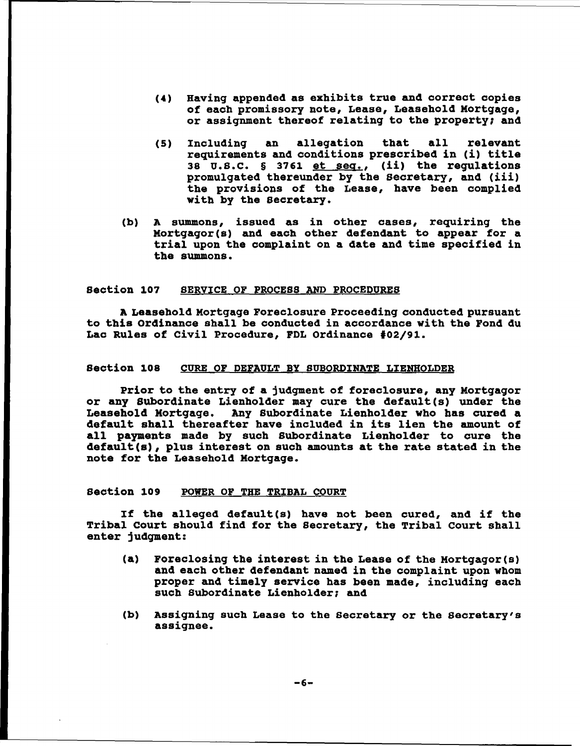- (4) Having appended as exhibits true and correct copies *ot* each promissory note, Lease, Leasehold Mortgage, or assignment thereof relating to the property; and
- (5) Including an allegation that all relevant requirements and conditions prescribed in (i) title 38 U.S.C. § 3761 et seq., (ii) the requlations promulgated thereunder by the Secretary, and (iii) the provisions of the Lease, have been complied with by the secretary.
- (b) A summons, issued as in other cases, requiring the Mortgagor(s) and each other defendant to appear for a trial upon the complaint on <sup>a</sup> date and time specified in the summons.

# section 107 SERVICE OF PROCESS AND PROCEDURES

A Leasehold Mortgage Foreclosure Proceeding conducted pursuant to this Ordinance shall be conducted in accordance with the Fond du Lac Rules *ot* civil Procedure, FDL Ordinance #02/91.

# section 108 CURE OF pEFAULT BY SUBORDINATE LIENHOLDER

prior to the entry of <sup>a</sup> jUdgment of foreclosure, any Mortgagor or any Subordinate Lienholder may cure the default(s) under the Leasehold Mortgage. Any Subordinate Lienholder Who has cured a default shall thereafter have included in its lien the amount of all payments made by such SUbordinate Lienholder to cure the default(s), plus interest on such amounts at the rate stated in the note for the Leasehold Mortgage.

# Section 109 POWER OF THE TRIBAL COURT

If the alleged default (s) have not been cured, and if the Tribal Court should find for the secretary, the Tribal court shall enter jUdgment:

- (a) Foreclosing the interest in the Lease of the Mortgagor (s) and each other defendant named in the complaint upon whom proper and timely service has been made, including each such Subordinate Lienholder; and
- (b) Assigning such Lease to the secretary or the secretary's assignee.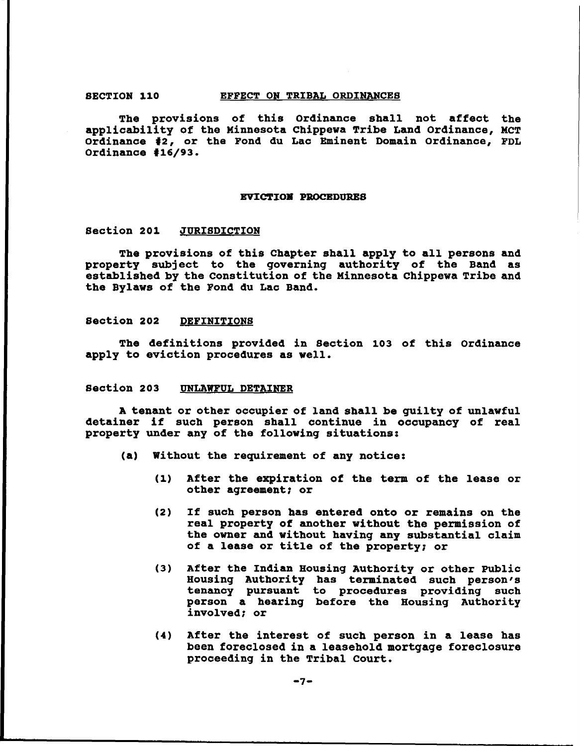#### SECTION 110 EFFECT ON TRIBAL ORDINANCES

The provisions of this Ordinance shall not affect the applicability of the Kinnesota Chippewa Tribe Land ordinance, MCT Ordinance #2, or the Fond du Lac Eminent Domain Ordinance, FDL Ordinance #16/93.

#### EVICTION PROCEDURES

# Section 201 JURISDICTION

The provisions of this Chapter shall apply to all persons and property subject to the governing authority of the Band as established by the constitution of the Minnesota Chippewa Tribe and the Bylaws of the Fond du Lac Band.

#### Section 202 DEFINITIONS

The definitions provided in section 103 of this Ordinance apply to eviction procedures as well.

# section 203 UNLAWFUL DETAINER

A tenant or other occupier of land shall be guilty of unlawful detainer if such person shall continue in occupancy of real property under any of the following situations:

- (a) Without the requirement of any notice:
	- (1) After the expiration *ot* the term of the lease or other agreement; or
	- (2) If such person has entered onto or remains on the real property *ot* another without the permission of the owner and without having any substantial claim of <sup>a</sup> lease or title of the property; or
	- (3) After the Indian Housing Authority or other Public Housing Authority has terminated such person's tenancy pursuant to procedures providing such person a hearing before the Housing Authority involved; or
	- (4) After the interest of such person in <sup>a</sup> lease has been foreclosed in a leasehold mortgage foreclosure proceeding in the Tribal Court.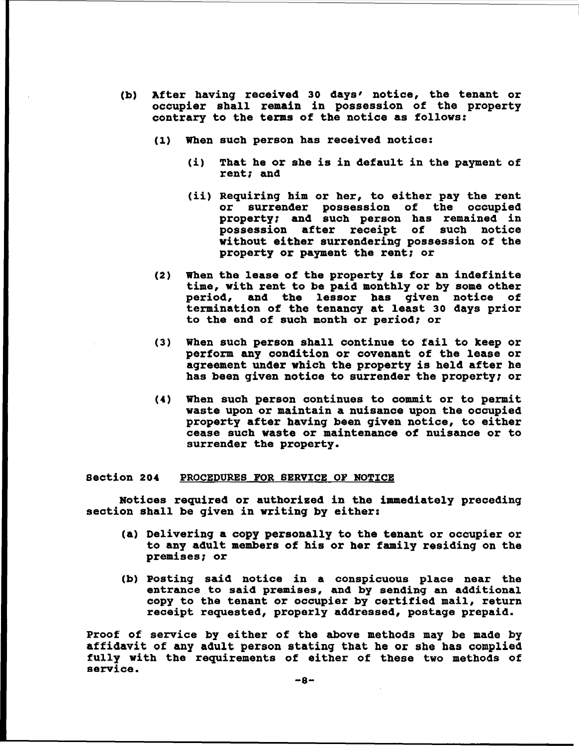- (b) After having received 30 days' notice, the tenant or occupier shall remain in possession of the property contrary to the terms of the notice as follows:
	- (1) When such person has received notice:
		- (i) That he or she is in default in the payment of rent; and
		- (ii) Requiring him or her, to either pay the rent<br>or surrender possession of the occupied surrender possession of the occupied property; and such person has remained in possession after receipt of such notice without either surrendering possession of the property or payment the rent: or
	- (2) When the lease of the property is for an indefinite time, with rent to be paid monthly or by some other period, and the lessor has given notice of termination of the tenancy at least 30 days prior to the end of such month or period: or
	- (3) When such person shall continue to fail to keep or perform any condition or covenant of the lease or agreement under which the property is held after he has been given notice to surrender the property; or
	- (4) When such person continues to commit or to permit waste upon or maintain a nuisance upon the occupied property after having been given notice, to either cease such waste or maintenance of nuisance or to surrender the property.

# section 204 PROCEDURES FOR SERVICE OF NOTICE

Notices required or authorized in the immediately preceding section shall be given in writing by either:

- (a) Delivering a copy personally to the tenant or occupier or to any adult members of his or her family residing on the premises: or
- (b) Posting said notice in a conspicuous place near the entrance to said premises, and by sending an additional copy to the tenant or occupier by certiried mail, return receipt requested, properly addressed, postage prepaid.

Proof of service by either of the above methods may be made by affidavit of any adult person stating that he or she has complied fully with the requirements of either of these two methods of service.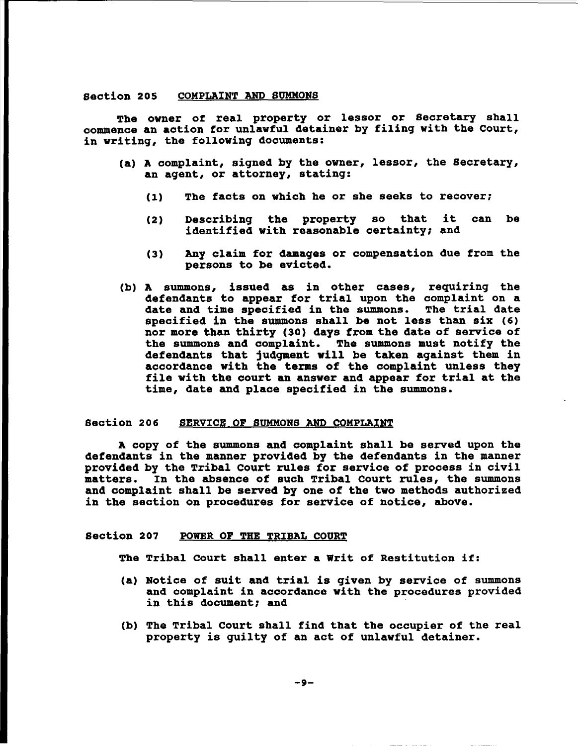# section 205 COMPLAINT AND SUMMONS

The owner of real property or lessor or Secretary shall commence an action for unlawful detainer by filing with the Court, in writing, the following documents:

- (a) A complaint, signed by the owner, lessor, the Secretary, an agent, or attorney, stating:
	- (1) The facts on which he or she seeks to recover;
	- (2) Describing the property so that it can be identified with reasonable certainty; and
	- (3) Any claim for damages or compensation due from the persons to be evicted.
- (b) A summons, issued as in other cases, requiring the defendants to appear for trial upon the complaint on a<br>date and time specified in the summons. The trial date date and time specified in the summons. specified in the summons shall be not less than six (6) nor more than thirty (30) days from the date of service of the summons and complaint. The summons must notify the defendants that jUdgment will be taken against them in accordance with the terms of the complaint unless they file with the court an answer and appear for trial at the time, date and place specified in the summons.

#### section 206 SERVICE OF SUMMONS AND COMPLAINT

A copy of the summons and complaint shall be served upon the defendants in the manner provided by the defendants in the manner provided by the Tribal Court rules for service of process in civil matters. In the absence of such Tribal Court rules, the summons and complaint shall be served by one of the two methods authorized in the section on procedures for service of notice, above.

### Section 207 POWER OF THE TRIBAL COURT

The Tribal Court shall enter <sup>a</sup> writ of Restitution if:

- (a) Notice of suit and trial is given by service of summons and complaint in accordance with the procedures provided in this document; and
- (b) The Tribal Court shall find that the occupier of the real property is guilty of an act of unlawful detainer.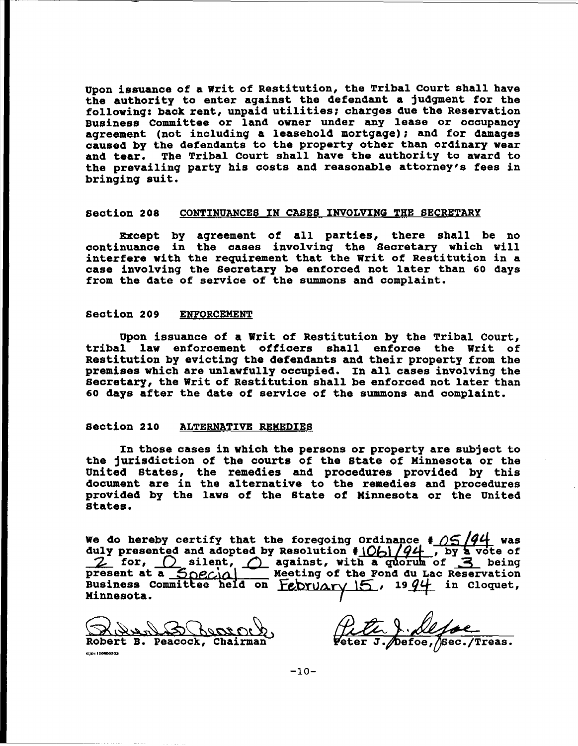upon issuance of a writ of Restitution, the Tribal court shall have the authority to enter against the defendant a jUdgment for the following: back rent, unpaid utilities; charges due the Reservation Business Committee or land owner under any lease or occupancy agreement (not includinq a leasehold mortgage); and for damages caused by the defendants to the property other than ordinary wear and tear. The Tribal Court shall have the authority to award to the prevailing party his costs and reasonable attorney's fees in bringinq suit.

#### section 208 CONTINUANCES IN CASES INVOLVING THE SECRETARY

Except by agreement of all parties, there shall be no continuance in the cases involvinq the Secretary which will interfere with the requirement that the writ of Restitution in <sup>a</sup> case involvinq the Secretary be enrorced not later than <sup>60</sup> days from the date of service of the summons and complaint.

# Section 209 ENFORCEMENT

upon issuance of a writ of Restitution by the Tribal Court, tribal law enforcement officers shall enforce the writ of Restitution by evictinq the defendants and their property from the premises Which are unlawfully occupied. In all cases involvinq the secretary, the Writ of Restitution shall be enforced not later than 60 days after the date of service of the summons and complaint.

# section 210 ALTERNATIVE REMEDIES

In those cases in Which the persons or property are Subject to the jurisdiction of the courts of the state of Minnesota or the united states, the remedies and procedures provided by this document are in the alternative to the remedies and procedures provided by the laws of the State of Minnesota or the United states.

We do hereby certify that the foregoing Ordinance  $\frac{4}{9}$  /5<sup>/94</sup> was duly presented and adopted by Resolution  $\frac{10}{10}$   $\frac{q}{4}$ , by a vote of <br>2 for,  $\bigcirc$  silent,  $\bigcirc$  against, with a quorum of 3 being present at a  $\frac{1}{\sqrt{2}}$   $\frac{1}{\sqrt{2}}$  Meeting of the Fond du Lac Reservation Business Committee held on  $Fe$ bru $Ary$   $15$ , 19 $94$  in Cloquet, Minnesota.

<u>M&&~\&^\\\$QQ\$OU\</u><br>Robert B. Peacock, Chairman

djpt120R00203

eter J./Defoe,/Sec./Treas.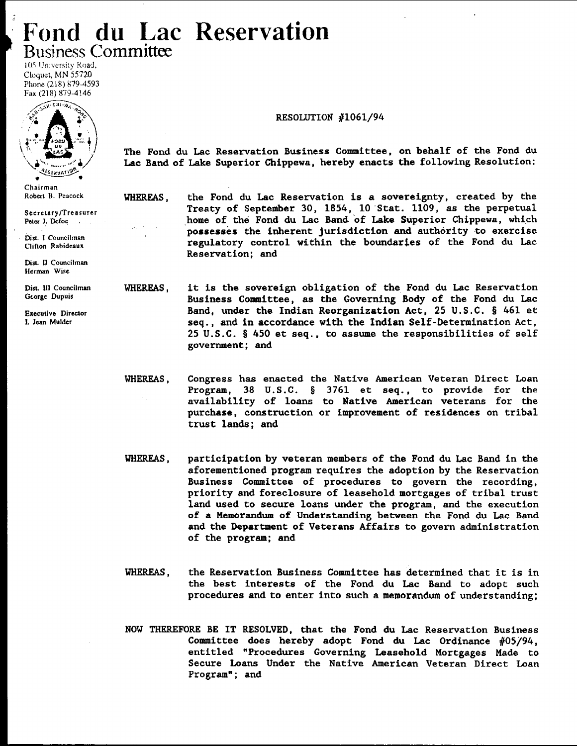# **Fond du Lac Reservation Business Committee**

105 University Road, Cloquet, MN 55720 Phone (218) 879-4593 Fax (218) 879-4146



Chairman Robert B. Peacock

Secretary/Treasurer Peter J. Defoe

DisL 1 Councilman Clifton Rabideaux

Dist. II Councilman Herman Wise

Dist. III Couneilman George Dupuis

Executive Director I. Jean Mulder

# RESOLUTION #1061/94

The Fond du Lac Reservation Business Committee, on behalf of the Fond du Lac Band of Lake Superior Chippewa, hereby enacts the following Resolution:

WHEREAS,

**COLL** 

the Fond du Lac Reservation is a sovereignty, created by the Treaty of September 30, 1854, 10 Stat. 1109, as the perpetual home of the Fond du Lac Band of Lake Superior Chippewa, which possesses the inherent jurisdiction and authority to exercise regulatory control within the boundaries of the Fond du Lac Reservation; and

WHEREAS, it is the sovereign obligation of the Fond du Lac Reservation Business Committee, as the Governing Body of the Fond du Lac Band, under the Indian Reorganization Act, 25 U.S.C. § 461 et seq., and in accordance with the Indian Self-Determination Act, 25 U.S.C. § 450 et seq., to assume the responsibilities of self government; and

- WHEREAS, Congress has enacted the Native American Veteran Direct Loan Program, 38 U.S.C. § 3761 et seq., to provide for the availability of loans to Native American veterans for the purchase, construction or improvement of residences on tribal trust lands; and
- WHEREAS, participation by veteran members of the Fond du Lac Band in the aforementioned program requires the adoption by the Reservation Business Committee of procedures to govern the recording, priority and foreclosure of leasehold mortgages of tribal trust land used to secure loans under the program, and the execution of a Memorandum of Understanding between the Fond du Lac Band and the Department of Veterans Affairs to govern administration of the program; and
- WHEREAS, the Reservation Business Committee has determined that it is in the best interests of the Fond du Lac Band to adopt such procedures and to enter into such a memorandum of understanding;
- NOW THEREFORE BE IT RESOLVED, that the Fond du Lac Reservation Business Committee does hereby adopt Fond du Lac Ordinance #05/94, entitled "Procedures Governing Leasehold Mortgages Made to Secure Loans Under the Native American Veteran Direct Loan Program"; and